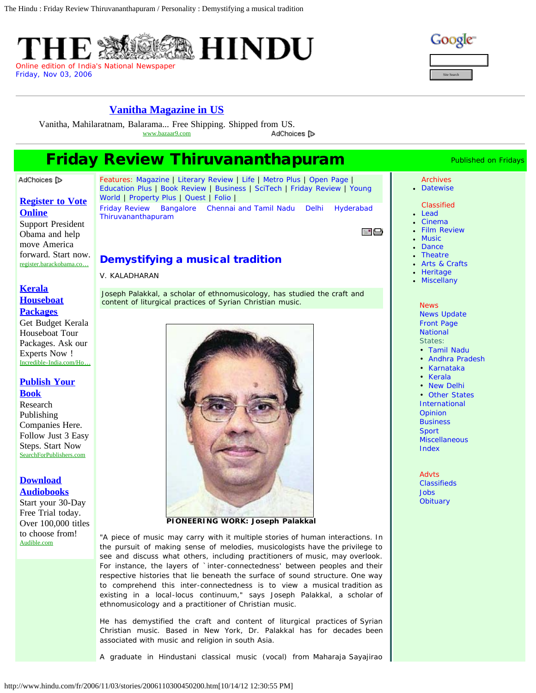

| Site Search |
|-------------|

## **[Vanitha Magazine in US](http://googleads.g.doubleclick.net/aclk?sa=L&ai=ChjMRq-h6UPD-AfLw2gW8nIHoDqfQnfsBx4Hb1jTAjbcBEAEg4MmcA1DP_6LJ_f____8BYMmGgIDspIAQyAEBqAMByAPfBKoEkAFP0H1LODAzWB4flct1A-XVKDGjXc3rKlp727TP0HhC-JHaAxh53KWJ8FMGOxbY0YHnNWSPyJTPqb11gkluSBsThnjaEsrYtc7qCc6JE6s_b9aHNJEwjCCSFqhfM0cfRyuosBeYU_myP-oMsJofNu2b4dtL2VZKe-z7BENy_ZxVWs0mgIaPLRvwhMLkYQhb73I&num=1&sig=AOD64_3pMAyoU229p0mcRK9hX09JmZveaA&client=ca-pub-6238405171313215&adurl=http://www.bazaar9.com&nm=2)**

Vanitha, Mahilaratnam, Balarama... Free Shipping. Shipped fro[m US.](http://www.google.com/url?ct=abg&q=https://www.google.com/adsense/support/bin/request.py%3Fcontact%3Dabg_afc%26url%3Dhttp://www.hindu.com/fr/2006/11/03/stories/2006110300450200.htm%26gl%3DUS%26hl%3Den%26client%3Dca-pub-6238405171313215%26ai0%3DChjMRq-h6UPD-AfLw2gW8nIHoDqfQnfsBx4Hb1jTAjbcBEAEg4MmcA1DP_6LJ_f____8BYMmGgIDspIAQyAEBqAMByAPfBKoEkAFP0H1LODAzWB4flct1A-XVKDGjXc3rKlp727TP0HhC-JHaAxh53KWJ8FMGOxbY0YHnNWSPyJTPqb11gkluSBsThnjaEsrYtc7qCc6JE6s_b9aHNJEwjCCSFqhfM0cfRyuosBeYU_myP-oMsJofNu2b4dtL2VZKe-z7BENy_ZxVWs0mgIaPLRvwhMLkYQhb73I&usg=AFQjCNHtlF-tYY_WaqZLEsr2e8UW2EXS8A) www.bazaar9.com AdChoices [D

# **Friday Review Thiruvananthapuram Manuville Conservation Fridays**

### AdChoices [D

## **[Register to Vote](http://googleads.g.doubleclick.net/aclk?sa=l&ai=Csztgq-h6UKW_ELSO2gWBmIDoBcTM_MYC9MHqtDy_4R4QASDgyZwDKARQj4CkhgJgyYaAgOykgBCgAYyVpucDyAEBqAMByAPfBKoEogFP0GIehWGHkZkgPyyCrKhnpdwq4h6DqEH3Z4OiiIQYrGrMObC8cnbcO2F2slPIGISshvO6rYB9sle9PxSyED8bZs3wVrSfjGPF6ylYzTCcMNpkUf6YLSj_7Dl7B06wOedHQz1kfYb3ofmYvFXiPSaOUGcsgiEHZZpxbawWFOr1fhQEHtupWw9I-8T7lLm-HVlYMubrQ6iuxDH2-WFY_VMsJWo&num=1&sig=AOD64_0_DSViugAF3U4gSss_dqm5AWlZ6Q&client=ca-pub-6238405171313215&adurl=https://register.barackobama.com/%3Fsource%3DOM2012_VR_G_vrtest-B_VR-VA-content_interest-hobbies-leisure_maf-pt2-cta1-%7C%7Cmkwid%7Cg8uD0JzO%7Ckw%7C%7Cmatchtype%7C%7Cpcrid%7C16125592884%7Cpl%7Cwww.hindu.com%7C) [Online](http://googleads.g.doubleclick.net/aclk?sa=l&ai=Csztgq-h6UKW_ELSO2gWBmIDoBcTM_MYC9MHqtDy_4R4QASDgyZwDKARQj4CkhgJgyYaAgOykgBCgAYyVpucDyAEBqAMByAPfBKoEogFP0GIehWGHkZkgPyyCrKhnpdwq4h6DqEH3Z4OiiIQYrGrMObC8cnbcO2F2slPIGISshvO6rYB9sle9PxSyED8bZs3wVrSfjGPF6ylYzTCcMNpkUf6YLSj_7Dl7B06wOedHQz1kfYb3ofmYvFXiPSaOUGcsgiEHZZpxbawWFOr1fhQEHtupWw9I-8T7lLm-HVlYMubrQ6iuxDH2-WFY_VMsJWo&num=1&sig=AOD64_0_DSViugAF3U4gSss_dqm5AWlZ6Q&client=ca-pub-6238405171313215&adurl=https://register.barackobama.com/%3Fsource%3DOM2012_VR_G_vrtest-B_VR-VA-content_interest-hobbies-leisure_maf-pt2-cta1-%7C%7Cmkwid%7Cg8uD0JzO%7Ckw%7C%7Cmatchtype%7C%7Cpcrid%7C16125592884%7Cpl%7Cwww.hindu.com%7C)**

Support President Obama and help move America forward. Start now. register.barackobama.co…

## **[Kerala](http://googleads.g.doubleclick.net/aclk?sa=l&ai=Ca6c5q-h6UKW_ELSO2gWBmIDoBf_NhP8B3_CVhx7AjbcBEAIg4MmcAygEUPK-8PgEYMmGgIDspIAQoAG52rj5A8gBAakCix8aRzdKVD6oAwHIA98EqgSfAU_QUhfQcoeSmSA_LIKsqGel3CriHoOoQfdng6KIhBisasw5sLxydtw7YXayU8gYhKyG87qtgH2yV70_FLIQPxtmzfBWtJ-MY8XrKVjNMJww2mRR_pgtKP_sOXsHTrA550dDPWR9hveh-Zi8VeI9JoZQtms_kj3QE7WGPKr4AWaS_u_1z6lbOlX75w6X_UsePa0xxh5AqNvHMZb_3isU8g&num=2&sig=AOD64_2ZgFbhluC99lTYwZnCpzfaXif-xw&client=ca-pub-6238405171313215&adurl=http://www.incredible-india.com/query.html%3Ftour%3DEnquire%2B:%2BKerala%2BHouseboat%2BPackages) [Houseboat](http://googleads.g.doubleclick.net/aclk?sa=l&ai=Ca6c5q-h6UKW_ELSO2gWBmIDoBf_NhP8B3_CVhx7AjbcBEAIg4MmcAygEUPK-8PgEYMmGgIDspIAQoAG52rj5A8gBAakCix8aRzdKVD6oAwHIA98EqgSfAU_QUhfQcoeSmSA_LIKsqGel3CriHoOoQfdng6KIhBisasw5sLxydtw7YXayU8gYhKyG87qtgH2yV70_FLIQPxtmzfBWtJ-MY8XrKVjNMJww2mRR_pgtKP_sOXsHTrA550dDPWR9hveh-Zi8VeI9JoZQtms_kj3QE7WGPKr4AWaS_u_1z6lbOlX75w6X_UsePa0xxh5AqNvHMZb_3isU8g&num=2&sig=AOD64_2ZgFbhluC99lTYwZnCpzfaXif-xw&client=ca-pub-6238405171313215&adurl=http://www.incredible-india.com/query.html%3Ftour%3DEnquire%2B:%2BKerala%2BHouseboat%2BPackages)**

## **[Packages](http://googleads.g.doubleclick.net/aclk?sa=l&ai=Ca6c5q-h6UKW_ELSO2gWBmIDoBf_NhP8B3_CVhx7AjbcBEAIg4MmcAygEUPK-8PgEYMmGgIDspIAQoAG52rj5A8gBAakCix8aRzdKVD6oAwHIA98EqgSfAU_QUhfQcoeSmSA_LIKsqGel3CriHoOoQfdng6KIhBisasw5sLxydtw7YXayU8gYhKyG87qtgH2yV70_FLIQPxtmzfBWtJ-MY8XrKVjNMJww2mRR_pgtKP_sOXsHTrA550dDPWR9hveh-Zi8VeI9JoZQtms_kj3QE7WGPKr4AWaS_u_1z6lbOlX75w6X_UsePa0xxh5AqNvHMZb_3isU8g&num=2&sig=AOD64_2ZgFbhluC99lTYwZnCpzfaXif-xw&client=ca-pub-6238405171313215&adurl=http://www.incredible-india.com/query.html%3Ftour%3DEnquire%2B:%2BKerala%2BHouseboat%2BPackages)**

Get Budget Kerala Houseboat Tour Packages. Ask our Experts Now ! Incredible-India.com/Ho…

## **[Publish Your](http://googleads.g.doubleclick.net/aclk?sa=l&ai=CIsQ2q-h6UKW_ELSO2gWBmIDoBdOh0sgC-5y7oTTAjbcBEAMg4MmcAygEUJ6a9J75_____wFgyYaAgOykgBCgAcGviv0DyAEBqAMByAPfBKoEngFP0HJcW3icqKGSjCD4rKg-490t6A_Y5U31sDips4ca5CTKOd-CYN8HBTZqsleCDYT0hvPj64F6uEbmchiwUnYPO9DyVrKGkmPb9CpEkTeHLcFoR6KFLyj56zl6BE2wPeZCQT9kY8DruHR5v9dgPu9M1-MEjXXWQKxxba8-FOqNeBQE4DFCe-yj-OcO00y9PR2tMTPoQyhbx9FwXsIS-Q&num=3&sig=AOD64_01tBXTf1dGGAmul7J6c5_CiB4HYw&client=ca-pub-6238405171313215&adurl=http://www.searchforpublishers.com%3F%26SearchEngine%3DGoogle%26SearchEngineCampaign%3DContent%26Adgroup%3DReligious%2BBook%2BPublishers%26Keyword%3Dcontent%26AdCopyVersion%3Dc%26AffiliateSite%3Dvmg-SFP%26TrackingCode%3D13961816171-none%26nav%3D2%26code%3DG2Y-) [Book](http://googleads.g.doubleclick.net/aclk?sa=l&ai=CIsQ2q-h6UKW_ELSO2gWBmIDoBdOh0sgC-5y7oTTAjbcBEAMg4MmcAygEUJ6a9J75_____wFgyYaAgOykgBCgAcGviv0DyAEBqAMByAPfBKoEngFP0HJcW3icqKGSjCD4rKg-490t6A_Y5U31sDips4ca5CTKOd-CYN8HBTZqsleCDYT0hvPj64F6uEbmchiwUnYPO9DyVrKGkmPb9CpEkTeHLcFoR6KFLyj56zl6BE2wPeZCQT9kY8DruHR5v9dgPu9M1-MEjXXWQKxxba8-FOqNeBQE4DFCe-yj-OcO00y9PR2tMTPoQyhbx9FwXsIS-Q&num=3&sig=AOD64_01tBXTf1dGGAmul7J6c5_CiB4HYw&client=ca-pub-6238405171313215&adurl=http://www.searchforpublishers.com%3F%26SearchEngine%3DGoogle%26SearchEngineCampaign%3DContent%26Adgroup%3DReligious%2BBook%2BPublishers%26Keyword%3Dcontent%26AdCopyVersion%3Dc%26AffiliateSite%3Dvmg-SFP%26TrackingCode%3D13961816171-none%26nav%3D2%26code%3DG2Y-)**

Research Publishing Companies Here. Follow Just 3 Easy Steps. Start Now SearchForPublishers.com

## **[Download](http://googleads.g.doubleclick.net/aclk?sa=l&ai=CAA2wq-h6UKW_ELSO2gWBmIDoBanLhtsC8cmevTzAjbcBEAQg4MmcAygEUO3x7MQDYMmGgIDspIAQoAH86rj_A8gBAagDAcgD3wSqBJ0BT9BCCC54m6ihkowg-KyoPuPdLegP2OVN9bA4qbOHGuQkyjnfgmDfBwU2arJXgg2E9Ibz4-uBerhG5nIYsFJ2DzvQ8layhpJj2_QqRJE3hy3BaEeihS8o-es5egRNsD3mQkE_ZGPA67h0eb_XYD7vTMucBp911kCscW2vPhTqjXgUBOAxQnvso_jnDtNMvT0drTEz6EMoW8fRcFXxsg&num=4&sig=AOD64_1yl8n51QZpMEr_wvz-61-gd2SxXg&client=ca-pub-6238405171313215&adurl=http://www.audible.com/t1/trial_at%3Fsource_code%3DGO1GB903DSH020112%26mkwid%3DcWPOaGKu2%26pcrid%3D16178008209%26pmt%3D%26pkw%3Denglish%2520literature%2520plays) [Audiobooks](http://googleads.g.doubleclick.net/aclk?sa=l&ai=CAA2wq-h6UKW_ELSO2gWBmIDoBanLhtsC8cmevTzAjbcBEAQg4MmcAygEUO3x7MQDYMmGgIDspIAQoAH86rj_A8gBAagDAcgD3wSqBJ0BT9BCCC54m6ihkowg-KyoPuPdLegP2OVN9bA4qbOHGuQkyjnfgmDfBwU2arJXgg2E9Ibz4-uBerhG5nIYsFJ2DzvQ8layhpJj2_QqRJE3hy3BaEeihS8o-es5egRNsD3mQkE_ZGPA67h0eb_XYD7vTMucBp911kCscW2vPhTqjXgUBOAxQnvso_jnDtNMvT0drTEz6EMoW8fRcFXxsg&num=4&sig=AOD64_1yl8n51QZpMEr_wvz-61-gd2SxXg&client=ca-pub-6238405171313215&adurl=http://www.audible.com/t1/trial_at%3Fsource_code%3DGO1GB903DSH020112%26mkwid%3DcWPOaGKu2%26pcrid%3D16178008209%26pmt%3D%26pkw%3Denglish%2520literature%2520plays)**

Start your 30-Day Free Trial today. Over 100,000 titles to choose from! Audible.com

Features: [Magazine](http://www.hindu.com/thehindu/mag/index.htm) | [Literary Review](http://www.hindu.com/thehindu/lr/index.htm) | [Life](http://www.hindu.com/thehindu/lf/index.htm) | [Metro Plus](http://www.hindu.com/thehindu/mp/index.htm) | [Open Page](http://www.hindu.com/thehindu/op/index.htm) | [Education Plus](http://www.hindu.com/thehindu/edu/index.htm) | [Book Review](http://www.hindu.com/thehindu/br/index.htm) | [Business](http://www.hindu.com/thehindu/biz/index.htm) | [SciTech](http://www.hindu.com/thehindu/seta/index.htm) | [Friday Review](http://www.hindu.com/thehindu/fr/index.htm) | [Young](http://www.hindu.com/thehindu/yw/index.htm) [World](http://www.hindu.com/thehindu/yw/index.htm) | [Property Plus](http://www.hindu.com/thehindu/pp/index.htm) | [Quest](http://www.hindu.com/thehindu/quest/index.htm) | [Folio](http://www.hindu.com/thehindu/folio/index.htm) | [Friday Review](http://www.hindu.com/fr/2006/11/03/index.htm) [Bangalore](http://www.hindu.com/fr/2006/11/03/bangindx.htm) [Chennai and Tamil Nadu](http://www.hindu.com/fr/2006/11/03/chenindx.htm) [Delhi](http://www.hindu.com/fr/2006/11/03/deliindx.htm) [Hyderabad](http://www.hindu.com/fr/2006/11/03/hydbindx.htm) [Thiruvananthapuram](http://www.hindu.com/fr/2006/11/03/tvdmindx.htm)

보다

## Demystifying a musical tradition

V. KALADHARAN

Joseph Palakkal, a scholar of ethnomusicology, has studied the craft and content of liturgical practices of Syrian Christian music.



### **PIONEERING WORK: Joseph Palakkal**

"A piece of music may carry with it multiple stories of human interactions. In the pursuit of making sense of melodies, musicologists have the privilege to see and discuss what others, including practitioners of music, may overlook. For instance, the layers of `inter-connectedness' between peoples and their respective histories that lie beneath the surface of sound structure. One way to comprehend this inter-connectedness is to view a musical tradition as existing in a local-locus continuum," says Joseph Palakkal, a scholar of ethnomusicology and a practitioner of Christian music.

He has demystified the craft and content of liturgical practices of Syrian Christian music. Based in New York, Dr. Palakkal has for decades been associated with music and religion in south Asia.

A graduate in Hindustani classical music (vocal) from Maharaja Sayajirao

#### Archives [Datewise](http://www.hindu.com/thehindu/fr/arcfr.htm)

## Classified

- [Lead](http://www.hindu.com/thehindu/fr/frcl01.htm)
- [Cinema](http://www.hindu.com/thehindu/fr/frcl02.htm)
- [Film Review](http://www.hindu.com/thehindu/fr/frcl03.htm)
- **[Music](http://www.hindu.com/thehindu/fr/frcl06.htm)**
- [Dance](http://www.hindu.com/thehindu/fr/frcl07.htm)
- [Theatre](http://www.hindu.com/thehindu/fr/frcl08.htm)
- [Arts & Crafts](http://www.hindu.com/thehindu/fr/frcl09.htm)
- **[Heritage](http://www.hindu.com/thehindu/fr/frcl10.htm)** [Miscellany](http://www.hindu.com/thehindu/fr/frcl11.htm)

## **News** [News Update](http://www.hindu.com/thehindu/holnus/) [Front Page](http://www.hinduonnet.com/index.htm) **[National](http://www.hindu.com/thehindu/2006/11/03/02hdline.htm) States:**

- [Tamil Nadu](http://www.hindu.com/thehindu/2006/11/03/23hdline.htm)
- [Andhra Pradesh](http://www.hindu.com/thehindu/2006/11/03/21hdline.htm)
- [Karnataka](http://www.hindu.com/thehindu/2006/11/03/22hdline.htm)
- [Kerala](http://www.hindu.com/thehindu/2006/11/03/25hdline.htm)
- [New Delhi](http://www.hindu.com/thehindu/2006/11/03/24hdline.htm)
- [Other States](http://www.hindu.com/thehindu/2006/11/03/14hdline.htm)
- [International](http://www.hindu.com/thehindu/2006/11/03/03hdline.htm)
- [Opinion](http://www.hindu.com/thehindu/2006/11/03/05hdline.htm)
- **[Business](http://www.hindu.com/thehindu/2006/11/03/06hdline.htm)**
- [Sport](http://www.hindu.com/thehindu/2006/11/03/07hdline.htm)
- **[Miscellaneous](http://www.hindu.com/thehindu/2006/11/03/10hdline.htm)**
- [Index](http://www.hindu.com/thehindu/2006/11/03/99hdline.htm)
- **Advts** [Classifieds](http://www.thehinduclassifieds.com/) [Jobs](http://www.thehindujobs.com/) **[Obituary](http://www.hinduonnet.com/2006/11/03/16hdline.htm)**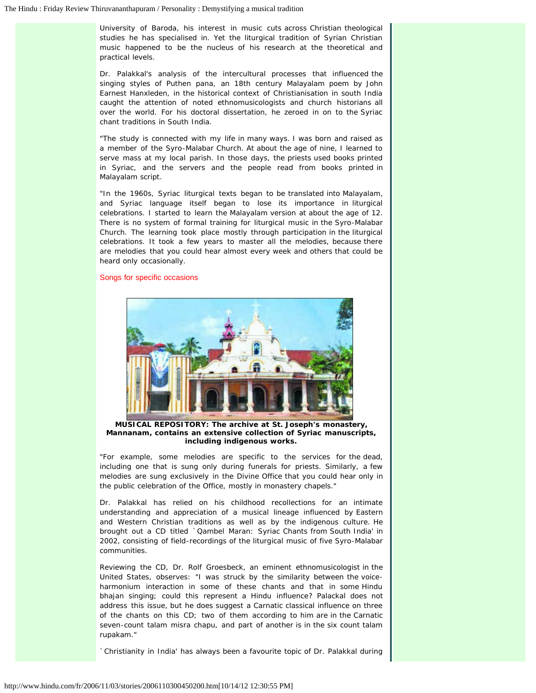University of Baroda, his interest in music cuts across Christian theological studies he has specialised in. Yet the liturgical tradition of Syrian Christian music happened to be the nucleus of his research at the theoretical and practical levels.

Dr. Palakkal's analysis of the intercultural processes that influenced the singing styles of Puthen pana, an 18th century Malayalam poem by John Earnest Hanxleden, in the historical context of Christianisation in south India caught the attention of noted ethnomusicologists and church historians all over the world. For his doctoral dissertation, he zeroed in on to the Syriac chant traditions in South India.

"The study is connected with my life in many ways. I was born and raised as a member of the Syro-Malabar Church. At about the age of nine, I learned to serve mass at my local parish. In those days, the priests used books printed in Syriac, and the servers and the people read from books printed in Malayalam script.

"In the 1960s, Syriac liturgical texts began to be translated into Malayalam, and Syriac language itself began to lose its importance in liturgical celebrations. I started to learn the Malayalam version at about the age of 12. There is no system of formal training for liturgical music in the Syro-Malabar Church. The learning took place mostly through participation in the liturgical celebrations. It took a few years to master all the melodies, because there are melodies that you could hear almost every week and others that could be heard only occasionally.

#### Songs for specific occasions



**MUSICAL REPOSITORY: The archive at St. Joseph's monastery, Mannanam, contains an extensive collection of Syriac manuscripts, including indigenous works.**

"For example, some melodies are specific to the services for the dead, including one that is sung only during funerals for priests. Similarly, a few melodies are sung exclusively in the Divine Office that you could hear only in the public celebration of the Office, mostly in monastery chapels."

Dr. Palakkal has relied on his childhood recollections for an intimate understanding and appreciation of a musical lineage influenced by Eastern and Western Christian traditions as well as by the indigenous culture. He brought out a CD titled `Qambel Maran: Syriac Chants from South India' in 2002, consisting of field-recordings of the liturgical music of five Syro-Malabar communities.

Reviewing the CD, Dr. Rolf Groesbeck, an eminent ethnomusicologist in the United States, observes: "I was struck by the similarity between the voiceharmonium interaction in some of these chants and that in some Hindu bhajan singing; could this represent a Hindu influence? Palackal does not address this issue, but he does suggest a Carnatic classical influence on three of the chants on this CD; two of them according to him are in the Carnatic seven-count talam misra chapu, and part of another is in the six count talam rupakam."

`Christianity in India' has always been a favourite topic of Dr. Palakkal during